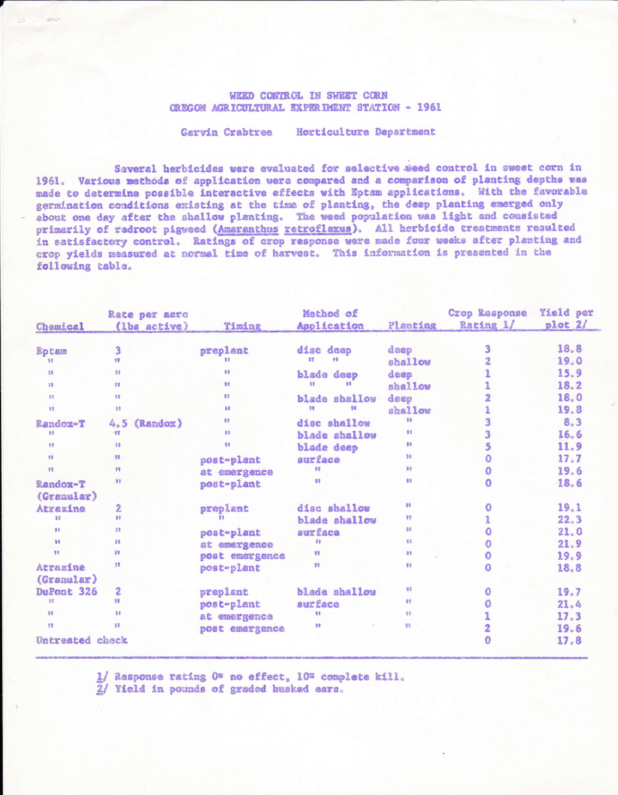## WEED CONTROL IN SWEET CORN OREGON AGRICULTURAL EXPERIMENT STATION - 1961

Garvin Crabtree Horticulture Department

Several herbicides were evaluated for selective weed control in sweet corn in 1961. Various methods of application were compared and a comparison of planting depths was made to determine possible interactive effects with Eptam applications. With the favorable germination conditions existing at the time of planting, the deep planting emerged only about one day after the shallow planting. The weed population was light and consisted primarily of redroot pigweed (Amaranthus retroflexus). All herbicide treatments resulted in satisfactory control. Ratings of erop response were made four weeks after planting and crop yields measured at normal time of harvest. This information is presented in the following table.

|                 | Rate per acre    |                | Method of      |          | Crop Response       | Yield per |
|-----------------|------------------|----------------|----------------|----------|---------------------|-----------|
| Chamical        | (lbs active)     | Timing         | Application    | Planting | Rating 1/           | plot 2/   |
| Eptem           | 3                | preplant       | disc deep      | deep     | 3                   | 18.8      |
| 말               | 98               | 数量             | 警察<br>自含       | shallow  | $\overline{2}$      | 19.0      |
| 88              | 38               | 98             | blade deep     | deep     |                     | 15.9      |
| 38              | 58               | 88             | 98<br>書書       | shallow  |                     | 18.2      |
| 88              | 98               | 83             | blade shallow  | deep     | $\overline{2}$      | 18.0      |
| 88              | 89               | 看提             | 信号<br>合催       | shallow  |                     | 19.8      |
| Randox-T        | (Randox)<br>4.5  | $\frac{1}{2}$  | disc shallow   | 88       | 3                   | 8.3       |
| 98              | 岩宫               | 98             | blade shallow  | 89       | 3                   | 16.6      |
| 88              | 88               | 98             | blade deep     | 98       | 5                   | 11.9      |
| ś               | 98               | post-plant     | surface        | 88       | $\ddot{\mathbf{O}}$ | 17.7      |
| 98              | 59               | at emergence   | 53             | 99       | $\mathbf{0}$        | 19.6      |
| Randox-T        | 98               | post-plant     | 69             | 88       | $\Omega$            | 18.6      |
| (Granular)      |                  |                |                |          |                     |           |
| Atrazine        | $\overline{2}$   | preplant       | disc shallow   | 海吸       | $\bullet$           | 19.1      |
| 92              | $65^{\circ}$     |                | blade shallow  | 98       |                     | 22.3      |
| 普集              | 健康               | post-plant     | surface        | 66       | ٥                   | 21.0      |
| 9 <sup>4</sup>  | 皇春               | at emergence   | 君言             | 82       | O                   | 21.9      |
| 81              | 89               | post emergence | 98             | 88       | 0                   | 19.9      |
| Atrazine        | GB.              | post-plant     | 99             | 88       | $\Omega$            | 18.8      |
| (Granular)      |                  |                |                |          |                     |           |
| DuPont 326      | $\boldsymbol{2}$ | preplant       | blade shallow  | 98       | O                   | 19.7      |
| 88              | 98               | post-plant     | <b>auxface</b> | 99       | 0                   | 21.4      |
| 89              | 88               | at emergence   | 88             | 98       |                     | 17.3      |
| 99              | 38               | post emergence | 38             | 警        | $\overline{2}$      | 19.6      |
| Untreated check |                  |                |                |          | Ω                   | 17.8      |

1/ Rasponse rating O\* no effect, 10% complete kill. 2/ Yield in pounds of graded husked ears.